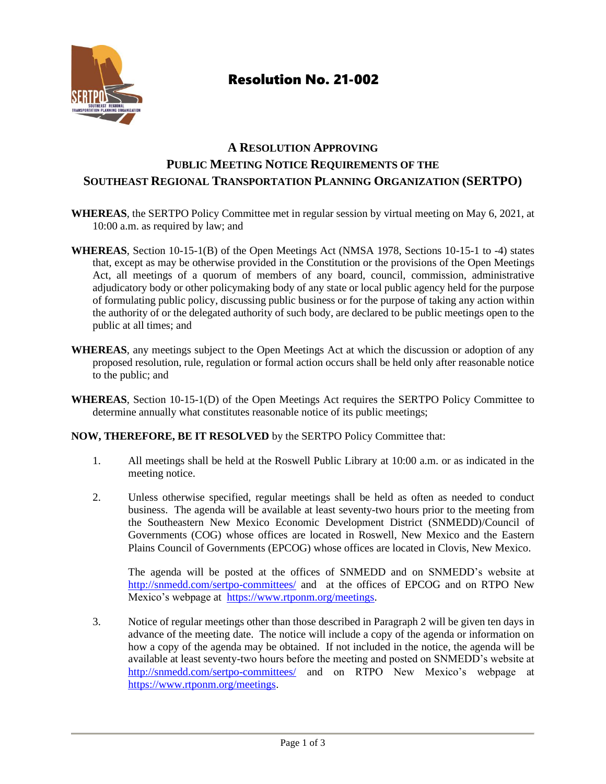

# Resolution No. 21-002

### **A RESOLUTION APPROVING PUBLIC MEETING NOTICE REQUIREMENTS OF THE SOUTHEAST REGIONAL TRANSPORTATION PLANNING ORGANIZATION (SERTPO)**

- **WHEREAS**, the SERTPO Policy Committee met in regular session by virtual meeting on May 6, 2021, at 10:00 a.m. as required by law; and
- **WHEREAS**, Section 10-15-1(B) of the Open Meetings Act (NMSA 1978, Sections 10-15-1 to -4) states that, except as may be otherwise provided in the Constitution or the provisions of the Open Meetings Act, all meetings of a quorum of members of any board, council, commission, administrative adjudicatory body or other policymaking body of any state or local public agency held for the purpose of formulating public policy, discussing public business or for the purpose of taking any action within the authority of or the delegated authority of such body, are declared to be public meetings open to the public at all times; and
- **WHEREAS**, any meetings subject to the Open Meetings Act at which the discussion or adoption of any proposed resolution, rule, regulation or formal action occurs shall be held only after reasonable notice to the public; and
- **WHEREAS**, Section 10-15-1(D) of the Open Meetings Act requires the SERTPO Policy Committee to determine annually what constitutes reasonable notice of its public meetings;

#### **NOW, THEREFORE, BE IT RESOLVED** by the SERTPO Policy Committee that:

- 1. All meetings shall be held at the Roswell Public Library at 10:00 a.m. or as indicated in the meeting notice.
- 2. Unless otherwise specified, regular meetings shall be held as often as needed to conduct business. The agenda will be available at least seventy-two hours prior to the meeting from the Southeastern New Mexico Economic Development District (SNMEDD)/Council of Governments (COG) whose offices are located in Roswell, New Mexico and the Eastern Plains Council of Governments (EPCOG) whose offices are located in Clovis, New Mexico.

The agenda will be posted at the offices of SNMEDD and on SNMEDD's website at <http://snmedd.com/sertpo-committees/> and at the offices of EPCOG and on RTPO New Mexico's webpage at [https://www.rtponm.org/meetings.](https://www.rtponm.org/meetings)

3. Notice of regular meetings other than those described in Paragraph 2 will be given ten days in advance of the meeting date. The notice will include a copy of the agenda or information on how a copy of the agenda may be obtained. If not included in the notice, the agenda will be available at least seventy-two hours before the meeting and posted on SNMEDD's website at <http://snmedd.com/sertpo-committees/> and on RTPO New Mexico's webpage at [https://www.rtponm.org/meetings.](https://www.rtponm.org/meetings)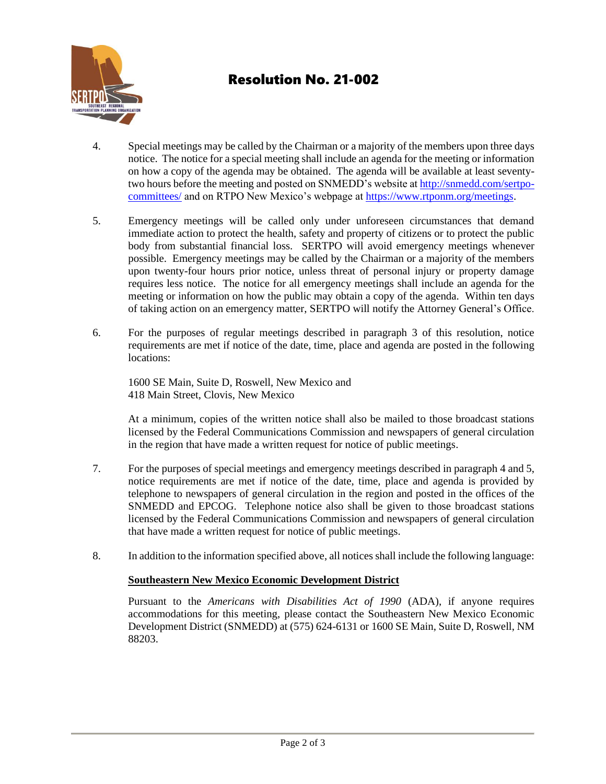

# Resolution No. 21-002

- 4. Special meetings may be called by the Chairman or a majority of the members upon three days notice. The notice for a special meeting shall include an agenda for the meeting or information on how a copy of the agenda may be obtained. The agenda will be available at least seventytwo hours before the meeting and posted on SNMEDD's website at http://snmedd.com/sertpocommittees/ and on RTPO New Mexico's webpage a[t https://www.rtponm.org/meetings.](https://www.rtponm.org/meetings)
- 5. Emergency meetings will be called only under unforeseen circumstances that demand immediate action to protect the health, safety and property of citizens or to protect the public body from substantial financial loss. SERTPO will avoid emergency meetings whenever possible. Emergency meetings may be called by the Chairman or a majority of the members upon twenty-four hours prior notice, unless threat of personal injury or property damage requires less notice. The notice for all emergency meetings shall include an agenda for the meeting or information on how the public may obtain a copy of the agenda. Within ten days of taking action on an emergency matter, SERTPO will notify the Attorney General's Office.
- 6. For the purposes of regular meetings described in paragraph 3 of this resolution, notice requirements are met if notice of the date, time, place and agenda are posted in the following locations:

1600 SE Main, Suite D, Roswell, New Mexico and 418 Main Street, Clovis, New Mexico

At a minimum, copies of the written notice shall also be mailed to those broadcast stations licensed by the Federal Communications Commission and newspapers of general circulation in the region that have made a written request for notice of public meetings.

- 7. For the purposes of special meetings and emergency meetings described in paragraph 4 and 5, notice requirements are met if notice of the date, time, place and agenda is provided by telephone to newspapers of general circulation in the region and posted in the offices of the SNMEDD and EPCOG. Telephone notice also shall be given to those broadcast stations licensed by the Federal Communications Commission and newspapers of general circulation that have made a written request for notice of public meetings.
- 8. In addition to the information specified above, all notices shall include the following language:

#### **Southeastern New Mexico Economic Development District**

Pursuant to the *Americans with Disabilities Act of 1990* (ADA), if anyone requires accommodations for this meeting, please contact the Southeastern New Mexico Economic Development District (SNMEDD) at (575) 624-6131 or 1600 SE Main, Suite D, Roswell, NM 88203.